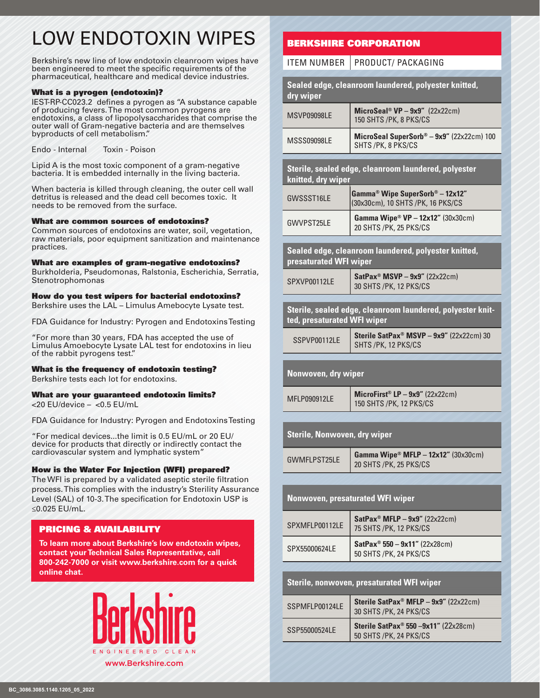# LOW ENDOTOXIN WIPES

Berkshire's new line of low endotoxin cleanroom wipes have been engineered to meet the specific requirements of the pharmaceutical, healthcare and medical device industries.

#### What is a pyrogen (endotoxin)?

IEST-RP-CC023.2 defines a pyrogen as "A substance capable of producing fevers. The most common pyrogens are endotoxins, a class of lipopolysaccharides that comprise the outer wall of Gram-negative bacteria and are themselves byproducts of cell metabolism."

Endo - Internal Toxin - Poison

Lipid A is the most toxic component of a gram-negative bacteria. It is embedded internally in the living bacteria.

When bacteria is killed through cleaning, the outer cell wall detritus is released and the dead cell becomes toxic. It needs to be removed from the surface.

#### What are common sources of endotoxins?

Common sources of endotoxins are water, soil, vegetation, raw materials, poor equipment sanitization and maintenance practices.

#### What are examples of gram-negative endotoxins?

Burkholderia, Pseudomonas, Ralstonia, Escherichia, Serratia, Stenotrophomonas

#### How do you test wipers for bacterial endotoxins?

Berkshire uses the LAL – Limulus Amebocyte Lysate test.

FDA Guidance for Industry: Pyrogen and Endotoxins Testing

"For more than 30 years, FDA has accepted the use of Limulus Amoebocyte Lysate LAL test for endotoxins in lieu of the rabbit pyrogens test."

#### What is the frequency of endotoxin testing?

Berkshire tests each lot for endotoxins.

#### What are your guaranteed endotoxin limits?

<20 EU/device – <0.5 EU/mL

FDA Guidance for Industry: Pyrogen and Endotoxins Testing

"For medical devices...the limit is 0.5 EU/mL or 20 EU/ device for products that directly or indirectly contact the cardiovascular system and lymphatic system"

#### How is the Water For Injection (WFI) prepared?

The WFI is prepared by a validated aseptic sterile filtration process. This complies with the industry's Sterility Assurance Level (SAL) of 10-3. The specification for Endotoxin USP is ≤0.025 EU/mL.

#### PRICING & AVAILABILITY

**To learn more about Berkshire's low endotoxin wipes, contact your Technical Sales Representative, call 800-242-7000 or visit www.berkshire.com for a quick online chat.**



### BERKSHIRE CORPORATION

ITEM NUMBER  $|$  PRODUCT/ PACKAGING

| dry wiper                           | Sealed edge, cleanroom laundered, polyester knitted,                              |
|-------------------------------------|-----------------------------------------------------------------------------------|
| MSVP09098LE                         | $Microsoft^{\circ} VP - 9x9''$ (22x22cm)<br>150 SHTS / PK, 8 PKS/CS               |
| MSSS09098LE                         | MicroSeal SuperSorb® - 9x9" (22x22cm) 100<br>SHTS / PK, 8 PKS/CS                  |
| knitted, dry wiper                  | Sterile, sealed edge, cleanroom laundered, polyester                              |
| GWSSST16LE                          | Gamma <sup>®</sup> Wipe SuperSorb® - 12x12"<br>(30x30cm), 10 SHTS / PK, 16 PKS/CS |
| GWVPST25LE                          | Gamma Wipe <sup>®</sup> VP - 12x12" (30x30cm)<br>20 SHTS /PK, 25 PKS/CS           |
| presaturated WFI wiper              | Sealed edge, cleanroom laundered, polyester knitted,                              |
| SPXVP00112LE                        | SatPax <sup>®</sup> MSVP - $9x9''$ (22x22cm)<br>30 SHTS / PK, 12 PKS/CS           |
|                                     |                                                                                   |
| ted, presaturated WFI wiper         | Sterile, sealed edge, cleanroom laundered, polyester knit-                        |
| SSPVP00112LE                        | Sterile SatPax <sup>®</sup> MSVP - 9x9" (22x22cm) 30<br>SHTS /PK, 12 PKS/CS       |
|                                     |                                                                                   |
| Nonwoven, dry wiper                 |                                                                                   |
| MFLP090912LE                        | MicroFirst® LP $-$ 9x9" (22x22cm)                                                 |
|                                     | 150 SHTS / PK, 12 PKS/CS                                                          |
|                                     |                                                                                   |
| <b>Sterile, Nonwoven, dry wiper</b> |                                                                                   |
| <b>GWMFLPST25LE</b>                 | Gamma Wipe <sup>®</sup> MFLP - 12x12" (30x30cm)<br>20 SHTS /PK, 25 PKS/CS         |
|                                     |                                                                                   |
|                                     | <b>Nonwoven, presaturated WFI wiper</b>                                           |
| SPXMFLP00112LE                      | SatPax <sup>®</sup> MFLP - $9x9''$ (22x22cm)<br>75 SHTS / PK, 12 PKS/CS           |
| SPX55000624LE                       | $SatPax^{\circ} 550 - 9x11'' (22x28cm)$<br>50 SHTS / PK, 24 PKS/CS                |
|                                     |                                                                                   |
|                                     | <b>Sterile, nonwoven, presaturated WFI wiper</b>                                  |
| SSPMFLP00124LE                      | Sterile SatPax <sup>®</sup> MFLP $-$ 9x9" (22x22cm)<br>30 SHTS / PK, 24 PKS/CS    |
| SSP55000524LE                       | Sterile SatPax <sup>®</sup> 550 -9x11" (22x28cm)<br>50 SHTS / PK, 24 PKS/CS       |